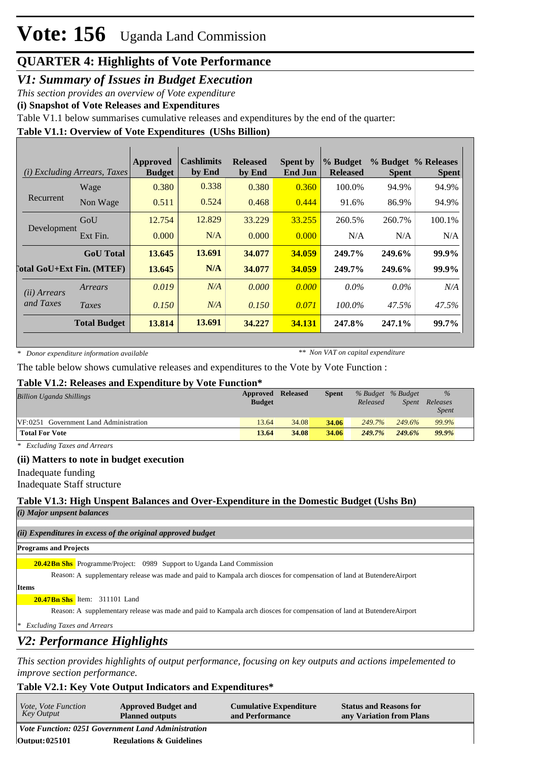## **QUARTER 4: Highlights of Vote Performance**

### *V1: Summary of Issues in Budget Execution*

*This section provides an overview of Vote expenditure*

**(i) Snapshot of Vote Releases and Expenditures**

Table V1.1 below summarises cumulative releases and expenditures by the end of the quarter:

### **Table V1.1: Overview of Vote Expenditures (UShs Billion)**

| (i)                   | <b>Excluding Arrears, Taxes</b>  | Approved<br><b>Budget</b> | <b>Cashlimits</b><br>by End | <b>Released</b><br>by End | <b>Spent by</b><br><b>End Jun</b> | % Budget<br><b>Released</b> | <b>Spent</b> | % Budget % Releases<br><b>Spent</b> |
|-----------------------|----------------------------------|---------------------------|-----------------------------|---------------------------|-----------------------------------|-----------------------------|--------------|-------------------------------------|
|                       | Wage                             | 0.380                     | 0.338                       | 0.380                     | 0.360                             | 100.0%                      | 94.9%        | 94.9%                               |
| Recurrent             | Non Wage                         | 0.511                     | 0.524                       | 0.468                     | 0.444                             | 91.6%                       | 86.9%        | 94.9%                               |
|                       | GoU                              | 12.754                    | 12.829                      | 33.229                    | 33.255                            | 260.5%                      | 260.7%       | 100.1%                              |
| Development           | Ext Fin.                         | 0.000                     | N/A                         | 0.000                     | 0.000                             | N/A                         | N/A          | N/A                                 |
|                       | <b>GoU</b> Total                 | 13.645                    | 13.691                      | 34,077                    | 34.059                            | 249.7%                      | 249.6%       | 99.9%                               |
|                       | <b>Total GoU+Ext Fin. (MTEF)</b> | 13.645                    | N/A                         | 34.077                    | 34.059                            | 249.7%                      | 249.6%       | 99.9%                               |
| ( <i>ii</i> ) Arrears | Arrears                          | 0.019                     | N/A                         | 0.000                     | 0.000                             | $0.0\%$                     | $0.0\%$      | N/A                                 |
| and Taxes             | Taxes                            | 0.150                     | N/A                         | 0.150                     | 0.071                             | 100.0%                      | 47.5%        | 47.5%                               |
|                       | <b>Total Budget</b>              | 13.814                    | 13.691                      | 34.227                    | 34.131                            | 247.8%                      | 247.1%       | 99.7%                               |

*\* Donor expenditure information available*

*\*\* Non VAT on capital expenditure*

The table below shows cumulative releases and expenditures to the Vote by Vote Function :

### **Table V1.2: Releases and Expenditure by Vote Function\***

| <b>Billion Uganda Shillings</b>        | Approved      | Released | <b>Spent</b> | % Budget % Budget |              | $\%$                     |
|----------------------------------------|---------------|----------|--------------|-------------------|--------------|--------------------------|
|                                        | <b>Budget</b> |          |              | Released          | <i>Spent</i> | Releases<br><b>Spent</b> |
| VF:0251 Government Land Administration | 13.64         | 34.08    | 34.06        | 249.7%            | 249.6%       | 99.9%                    |
| <b>Total For Vote</b>                  | 13.64         | 34.08    | 34.06        | 249.7%            | 249.6%       | 99.9%                    |

*\* Excluding Taxes and Arrears*

### **(ii) Matters to note in budget execution**

Inadequate funding

Inadequate Staff structure

### **Table V1.3: High Unspent Balances and Over-Expenditure in the Domestic Budget (Ushs Bn)**

*(i) Major unpsent balances*

*(ii) Expenditures in excess of the original approved budget*

#### **Programs and Projects**

20.42Bn Shs Programme/Project: 0989 Support to Uganda Land Commission

Reason: A supplementary release was made and paid to Kampala arch diosces for compensation of land at ButendereAirport

**Items**

#### **Bn Shs** Item: 311101 Land **20.47**

Reason: A supplementary release was made and paid to Kampala arch diosces for compensation of land at ButendereAirport

*\* Excluding Taxes and Arrears*

# *V2: Performance Highlights*

*This section provides highlights of output performance, focusing on key outputs and actions impelemented to improve section performance.*

### **Table V2.1: Key Vote Output Indicators and Expenditures\***

| <i>Vote, Vote Function</i><br>Key Output | <b>Approved Budget and</b><br><b>Planned outputs</b> | <b>Cumulative Expenditure</b><br>and Performance | <b>Status and Reasons for</b><br>any Variation from Plans |
|------------------------------------------|------------------------------------------------------|--------------------------------------------------|-----------------------------------------------------------|
|                                          | Vote Function: 0251 Government Land Administration   |                                                  |                                                           |
| Output: 025101                           | <b>Regulations &amp; Guidelines</b>                  |                                                  |                                                           |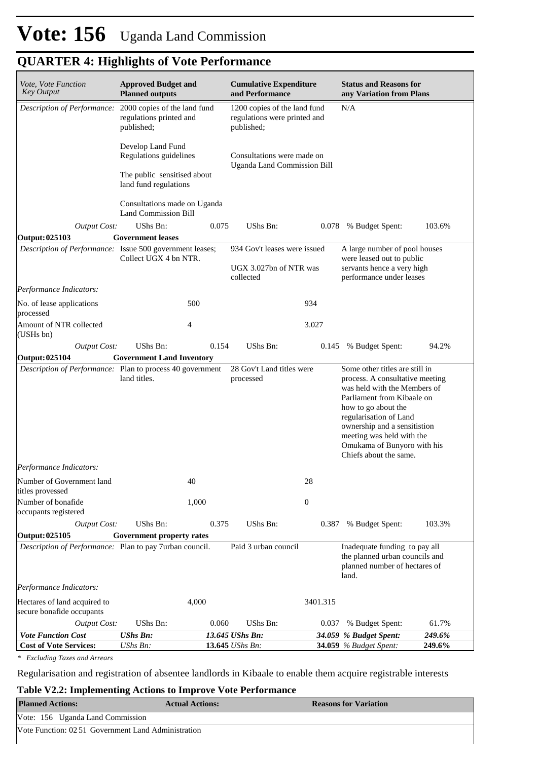# **QUARTER 4: Highlights of Vote Performance**

| Vote, Vote Function<br><b>Key Output</b>                  | <b>Approved Budget and</b><br><b>Planned outputs</b>                  |       | <b>Cumulative Expenditure</b><br>and Performance                                  |                  | <b>Status and Reasons for</b><br>any Variation from Plans                                                                                                                                                                                                                                              |        |  |  |
|-----------------------------------------------------------|-----------------------------------------------------------------------|-------|-----------------------------------------------------------------------------------|------------------|--------------------------------------------------------------------------------------------------------------------------------------------------------------------------------------------------------------------------------------------------------------------------------------------------------|--------|--|--|
| Description of Performance:                               | 2000 copies of the land fund<br>regulations printed and<br>published; |       | N/A<br>1200 copies of the land fund<br>regulations were printed and<br>published; |                  |                                                                                                                                                                                                                                                                                                        |        |  |  |
|                                                           | Develop Land Fund<br>Regulations guidelines                           |       | Consultations were made on<br><b>Uganda Land Commission Bill</b>                  |                  |                                                                                                                                                                                                                                                                                                        |        |  |  |
|                                                           | The public sensitised about<br>land fund regulations                  |       |                                                                                   |                  |                                                                                                                                                                                                                                                                                                        |        |  |  |
|                                                           | Consultations made on Uganda<br><b>Land Commission Bill</b>           |       |                                                                                   |                  |                                                                                                                                                                                                                                                                                                        |        |  |  |
| <b>Output Cost:</b>                                       | UShs Bn:                                                              | 0.075 | UShs Bn:                                                                          |                  | 0.078 % Budget Spent:                                                                                                                                                                                                                                                                                  | 103.6% |  |  |
| Output: 025103                                            | <b>Government leases</b>                                              |       |                                                                                   |                  |                                                                                                                                                                                                                                                                                                        |        |  |  |
| Description of Performance: Issue 500 government leases;  | Collect UGX 4 bn NTR.                                                 |       | 934 Gov't leases were issued                                                      |                  | A large number of pool houses<br>were leased out to public                                                                                                                                                                                                                                             |        |  |  |
|                                                           |                                                                       |       | UGX 3.027bn of NTR was<br>collected                                               |                  | servants hence a very high<br>performance under leases                                                                                                                                                                                                                                                 |        |  |  |
| Performance Indicators:                                   |                                                                       |       |                                                                                   |                  |                                                                                                                                                                                                                                                                                                        |        |  |  |
| No. of lease applications<br>processed                    | 500                                                                   |       |                                                                                   | 934              |                                                                                                                                                                                                                                                                                                        |        |  |  |
| Amount of NTR collected<br>(USHs bn)                      | 4                                                                     |       |                                                                                   | 3.027            |                                                                                                                                                                                                                                                                                                        |        |  |  |
| <b>Output Cost:</b>                                       | UShs Bn:                                                              | 0.154 | UShs Bn:                                                                          |                  | 0.145 % Budget Spent:                                                                                                                                                                                                                                                                                  | 94.2%  |  |  |
| Output: 025104                                            | <b>Government Land Inventory</b>                                      |       |                                                                                   |                  |                                                                                                                                                                                                                                                                                                        |        |  |  |
| Description of Performance: Plan to process 40 government | land titles.                                                          |       | 28 Gov't Land titles were<br>processed                                            |                  | Some other titles are still in<br>process. A consultative meeting<br>was held with the Members of<br>Parliament from Kibaale on<br>how to go about the<br>regularisation of Land<br>ownership and a sensitistion<br>meeting was held with the<br>Omukama of Bunyoro with his<br>Chiefs about the same. |        |  |  |
| Performance Indicators:                                   |                                                                       |       |                                                                                   |                  |                                                                                                                                                                                                                                                                                                        |        |  |  |
| Number of Government land<br>titles provessed             | 40                                                                    |       |                                                                                   | 28               |                                                                                                                                                                                                                                                                                                        |        |  |  |
| Number of bonafide<br>occupants registered                | 1,000                                                                 |       |                                                                                   | $\boldsymbol{0}$ |                                                                                                                                                                                                                                                                                                        |        |  |  |
| <b>Output Cost:</b>                                       | UShs Bn:                                                              | 0.375 | UShs Bn:                                                                          | 0.387            | % Budget Spent:                                                                                                                                                                                                                                                                                        | 103.3% |  |  |
| Output: 025105                                            | Government property rates                                             |       |                                                                                   |                  |                                                                                                                                                                                                                                                                                                        |        |  |  |
| Description of Performance: Plan to pay 7urban council.   |                                                                       |       | Paid 3 urban council                                                              |                  | Inadequate funding to pay all<br>the planned urban councils and<br>planned number of hectares of<br>land.                                                                                                                                                                                              |        |  |  |
| Performance Indicators:                                   |                                                                       |       |                                                                                   |                  |                                                                                                                                                                                                                                                                                                        |        |  |  |
| Hectares of land acquired to<br>secure bonafide occupants | 4,000                                                                 |       |                                                                                   | 3401.315         |                                                                                                                                                                                                                                                                                                        |        |  |  |
| <b>Output Cost:</b>                                       | UShs Bn:                                                              | 0.060 | UShs Bn:                                                                          | 0.037            | % Budget Spent:                                                                                                                                                                                                                                                                                        | 61.7%  |  |  |
| <b>Vote Function Cost</b>                                 | <b>UShs Bn:</b>                                                       |       | 13.645 UShs Bn:                                                                   |                  | 34.059 % Budget Spent:                                                                                                                                                                                                                                                                                 | 249.6% |  |  |
| <b>Cost of Vote Services:</b>                             | UShs Bn:                                                              |       | 13.645 UShs Bn:                                                                   |                  | 34.059 % Budget Spent:                                                                                                                                                                                                                                                                                 | 249.6% |  |  |

*\* Excluding Taxes and Arrears*

Regularisation and registration of absentee landlords in Kibaale to enable them acquire registrable interests

### **Table V2.2: Implementing Actions to Improve Vote Performance**

| <b>Planned Actions:</b>                             | <b>Actual Actions:</b> | <b>Reasons for Variation</b> |
|-----------------------------------------------------|------------------------|------------------------------|
| Vote: 156 Uganda Land Commission                    |                        |                              |
| Vote Function: 02.51 Government Land Administration |                        |                              |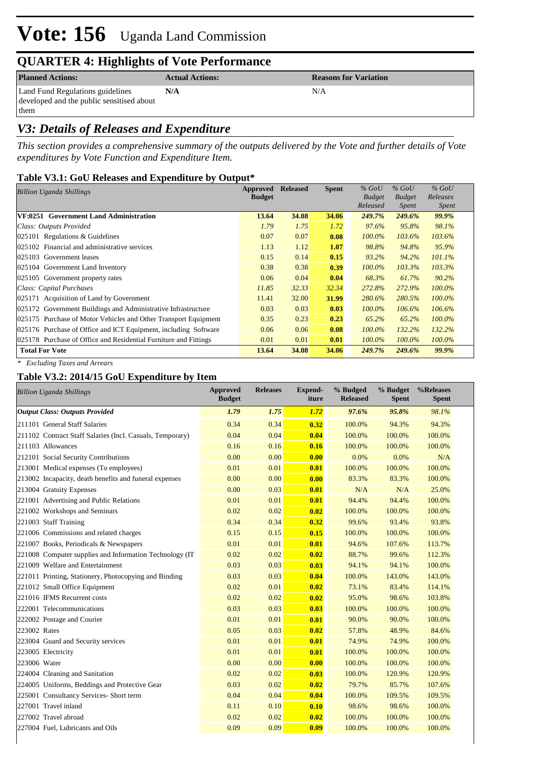# **Vote: 156** Uganda Land Commission

# **QUARTER 4: Highlights of Vote Performance**

**Planned Actions: Actual Actions: Reasons for Variation** 

Land Fund Regulations guidelines developed and the public sensitised about them

## *V3: Details of Releases and Expenditure*

*This section provides a comprehensive summary of the outputs delivered by the Vote and further details of Vote expenditures by Vote Function and Expenditure Item.*

**N/A** N/A

### **Table V3.1: GoU Releases and Expenditure by Output\***

| Billion Uganda Shillings                                         | Approved      | <b>Released</b> | <b>Spent</b> | $%$ GoU                   | $%$ GoU       | $%$ GoU   |
|------------------------------------------------------------------|---------------|-----------------|--------------|---------------------------|---------------|-----------|
|                                                                  | <b>Budget</b> |                 |              | <b>Budget</b><br>Released | <b>Budget</b> | Releases  |
|                                                                  |               |                 |              |                           | Spent         | Spent     |
| VF:0251 Government Land Administration                           | 13.64         | 34.08           | 34.06        | 249.7%                    | 249.6%        | 99.9%     |
| Class: Outputs Provided                                          | 1.79          | 1.75            | 1.72         | 97.6%                     | 95.8%         | 98.1%     |
| $ 025101$ Regulations & Guidelines                               | 0.07          | 0.07            | 0.08         | $100.0\%$                 | 103.6%        | 103.6%    |
| 025102 Financial and administrative services                     | 1.13          | 1.12            | 1.07         | 98.8%                     | 94.8%         | 95.9%     |
| 025103 Government leases                                         | 0.15          | 0.14            | 0.15         | 93.2%                     | 94.2%         | 101.1%    |
| 025104 Government Land Inventory                                 | 0.38          | 0.38            | 0.39         | $100.0\%$                 | 103.3%        | 103.3%    |
| 025105 Government property rates                                 | 0.06          | 0.04            | 0.04         | 68.3%                     | 61.7%         | 90.2%     |
| Class: Capital Purchases                                         | 11.85         | 32.33           | 32.34        | 272.8%                    | 272.9%        | $100.0\%$ |
| 025171 Acquisition of Land by Government                         | 11.41         | 32.00           | 31.99        | 280.6%                    | 280.5%        | 100.0%    |
| 025172 Government Buildings and Administrative Infrastructure    | 0.03          | 0.03            | 0.03         | $100.0\%$                 | $106.6\%$     | 106.6%    |
| 025175 Purchase of Motor Vehicles and Other Transport Equipment  | 0.35          | 0.23            | 0.23         | 65.2%                     | 65.2%         | $100.0\%$ |
| 025176 Purchase of Office and ICT Equipment, including Software  | 0.06          | 0.06            | 0.08         | $100.0\%$                 | 132.2%        | 132.2%    |
| 025178 Purchase of Office and Residential Furniture and Fittings | 0.01          | 0.01            | 0.01         | $100.0\%$                 | $100.0\%$     | 100.0%    |
| <b>Total For Vote</b>                                            | 13.64         | 34.08           | 34.06        | 249.7%                    | 249.6%        | 99.9%     |

*\* Excluding Taxes and Arrears*

### **Table V3.2: 2014/15 GoU Expenditure by Item**

| <b>Billion Uganda Shillings</b>                           | <b>Approved</b><br><b>Budget</b> | <b>Releases</b> | <b>Expend-</b><br>iture | % Budged<br><b>Released</b> | % Budget<br><b>Spent</b> | %Releases<br><b>Spent</b> |
|-----------------------------------------------------------|----------------------------------|-----------------|-------------------------|-----------------------------|--------------------------|---------------------------|
| <b>Output Class: Outputs Provided</b>                     | 1.79                             | 1.75            | 1.72                    | 97.6%                       | 95.8%                    | 98.1%                     |
| 211101 General Staff Salaries                             | 0.34                             | 0.34            | 0.32                    | 100.0%                      | 94.3%                    | 94.3%                     |
| 211102 Contract Staff Salaries (Incl. Casuals, Temporary) | 0.04                             | 0.04            | 0.04                    | 100.0%                      | 100.0%                   | 100.0%                    |
| 211103 Allowances                                         | 0.16                             | 0.16            | 0.16                    | 100.0%                      | 100.0%                   | 100.0%                    |
| 212101 Social Security Contributions                      | 0.00                             | 0.00            | 0.00                    | 0.0%                        | 0.0%                     | N/A                       |
| 213001 Medical expenses (To employees)                    | 0.01                             | 0.01            | 0.01                    | 100.0%                      | 100.0%                   | 100.0%                    |
| 213002 Incapacity, death benefits and funeral expenses    | 0.00                             | 0.00            | 0.00                    | 83.3%                       | 83.3%                    | 100.0%                    |
| 213004 Gratuity Expenses                                  | 0.00                             | 0.03            | 0.01                    | N/A                         | N/A                      | 25.0%                     |
| 221001 Advertising and Public Relations                   | 0.01                             | 0.01            | 0.01                    | 94.4%                       | 94.4%                    | 100.0%                    |
| 221002 Workshops and Seminars                             | 0.02                             | 0.02            | 0.02                    | 100.0%                      | 100.0%                   | 100.0%                    |
| 221003 Staff Training                                     | 0.34                             | 0.34            | 0.32                    | 99.6%                       | 93.4%                    | 93.8%                     |
| 221006 Commissions and related charges                    | 0.15                             | 0.15            | 0.15                    | 100.0%                      | 100.0%                   | 100.0%                    |
| 221007 Books, Periodicals & Newspapers                    | 0.01                             | 0.01            | 0.01                    | 94.6%                       | 107.6%                   | 113.7%                    |
| 221008 Computer supplies and Information Technology (IT)  | 0.02                             | 0.02            | 0.02                    | 88.7%                       | 99.6%                    | 112.3%                    |
| 221009 Welfare and Entertainment                          | 0.03                             | 0.03            | 0.03                    | 94.1%                       | 94.1%                    | 100.0%                    |
| 221011 Printing, Stationery, Photocopying and Binding     | 0.03                             | 0.03            | 0.04                    | 100.0%                      | 143.0%                   | 143.0%                    |
| 221012 Small Office Equipment                             | 0.02                             | 0.01            | 0.02                    | 73.1%                       | 83.4%                    | 114.1%                    |
| 221016 IFMS Recurrent costs                               | 0.02                             | 0.02            | 0.02                    | 95.0%                       | 98.6%                    | 103.8%                    |
| 222001 Telecommunications                                 | 0.03                             | 0.03            | 0.03                    | 100.0%                      | 100.0%                   | 100.0%                    |
| 222002 Postage and Courier                                | 0.01                             | 0.01            | 0.01                    | 90.0%                       | 90.0%                    | 100.0%                    |
| 223002 Rates                                              | 0.05                             | 0.03            | 0.02                    | 57.8%                       | 48.9%                    | 84.6%                     |
| 223004 Guard and Security services                        | 0.01                             | 0.01            | 0.01                    | 74.9%                       | 74.9%                    | 100.0%                    |
| 223005 Electricity                                        | 0.01                             | 0.01            | 0.01                    | 100.0%                      | 100.0%                   | 100.0%                    |
| 223006 Water                                              | 0.00                             | 0.00            | 0.00                    | 100.0%                      | 100.0%                   | 100.0%                    |
| 224004 Cleaning and Sanitation                            | 0.02                             | 0.02            | 0.03                    | 100.0%                      | 120.9%                   | 120.9%                    |
| 224005 Uniforms, Beddings and Protective Gear             | 0.03                             | 0.02            | 0.02                    | 79.7%                       | 85.7%                    | 107.6%                    |
| 225001 Consultancy Services- Short term                   | 0.04                             | 0.04            | 0.04                    | 100.0%                      | 109.5%                   | 109.5%                    |
| 227001 Travel inland                                      | 0.11                             | 0.10            | 0.10                    | 98.6%                       | 98.6%                    | 100.0%                    |
| 227002 Travel abroad                                      | 0.02                             | 0.02            | 0.02                    | 100.0%                      | 100.0%                   | 100.0%                    |
| 227004 Fuel, Lubricants and Oils                          | 0.09                             | 0.09            | 0.09                    | 100.0%                      | 100.0%                   | 100.0%                    |